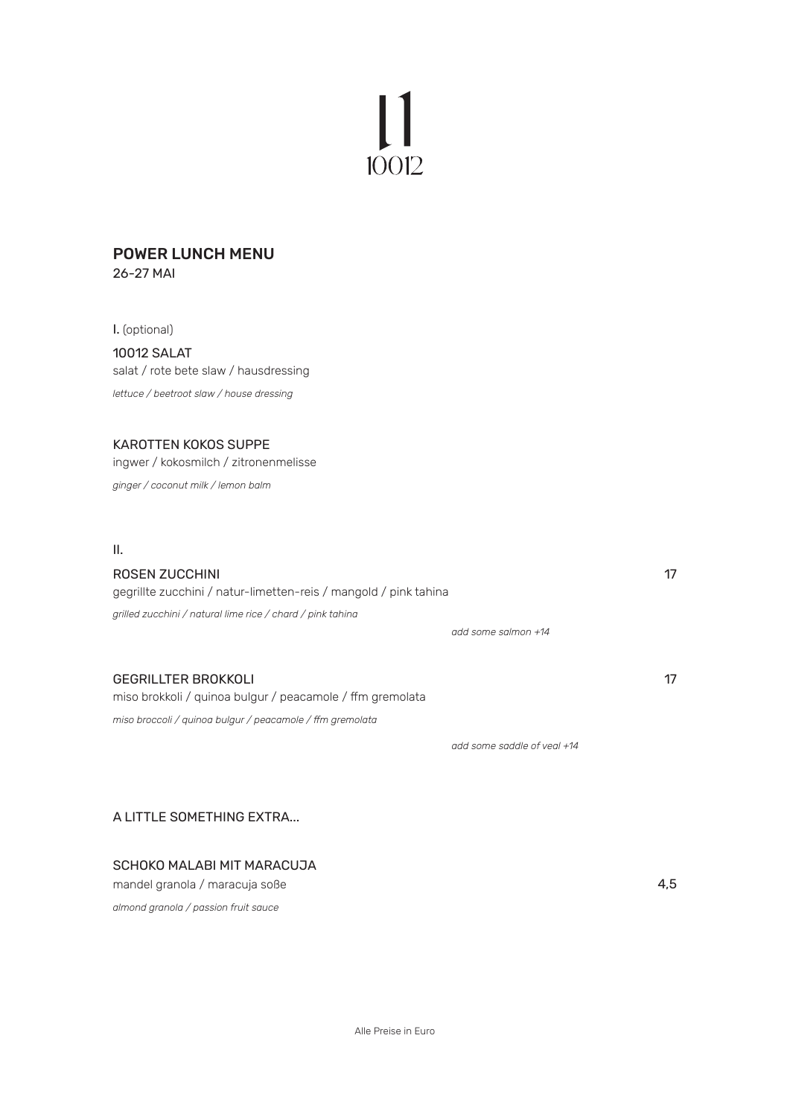# $10012$

#### POWER LUNCH MENU 26-27 MAI

I. (optional) 10012 SALAT salat / rote bete slaw / hausdressing *lettuce / beetroot slaw / house dressing*

### KAROTTEN KOKOS SUPPE

ingwer / kokosmilch / zitronenmelisse *ginger / coconut milk / lemon balm*

II.

## ROSEN ZUCCHINI 17 gegrillte zucchini / natur-limetten-reis / mangold / pink tahina *grilled zucchini / natural lime rice / chard / pink tahina*

 *add some salmon +14*

## GEGRILLTER BROKKOLI 17 NOVEMBER 17 NOVEMBER 17 NOVEMBER 17 NOVEMBER 17 NOVEMBER 17 NOVEMBER 17 NOVEMBER 17 NOVEMBER 17 NOVEMBER 17 NOVEMBER 17 NOVEMBER 17 NOVEMBER 17 NOVEMBER 17 NOVEMBER 17 NOVEMBER 17 NOVEMBER 17 NOVEMBE

miso brokkoli / quinoa bulgur / peacamole / ffm gremolata

*miso broccoli / quinoa bulgur / peacamole / ffm gremolata*

 *add some saddle of veal +14* 

A LITTLE SOMETHING EXTRA...

## SCHOKO MALABI MIT MARACUJA

mandel granola / maracuja soße 4,5 *almond granola / passion fruit sauce* 

Alle Preise in Euro